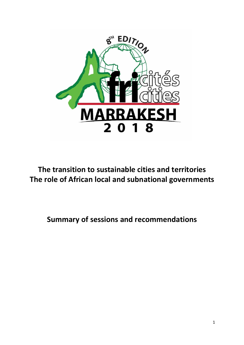

**The transition to sustainable cities and territories The role of African local and subnational governments** 

**Summary of sessions and recommendations**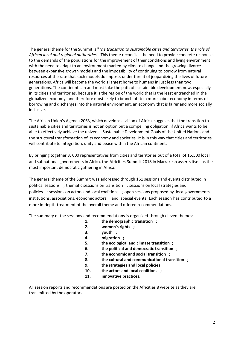The general theme for the Summit is "*The transition to sustainable cities and territories, the role of African local and regional authorities*". This theme reconciles the need to provide concrete responses to the demands of the populations for the improvement of their conditions and living environment, with the need to adapt to an environment marked by climate change and the growing divorce between expansive growth models and the impossibility of continuing to borrow from natural resources at the rate that such models do impose, under threat of jeopardizing the lives of future generations. Africa will become the world's largest home to humans in just less than two generations. The continent can and must take the path of sustainable development now, especially in its cities and territories, because it is the region of the world that is the least entrenched in the globalized economy, and therefore most likely to branch off to a more sober economy in terms of borrowing and discharges into the natural environment, an economy that is fairer and more socially inclusive.

The African Union's Agenda 2063, which develops a vision of Africa, suggests that the transition to sustainable cities and territories is not an option but a compelling obligation, if Africa wants to be able to effectively achieve the universal Sustainable Development Goals of the United Nations and the structural transformation of its economy and societies. It is in this way that cities and territories will contribute to integration, unity and peace within the African continent.

By bringing together 3, 000 representatives from cities and territories out of a total of 16,500 local and subnational governments in Africa, the Africities Summit 2018 in Marrakesh asserts itself as the most important democratic gathering in Africa.

The general theme of the Summit was addressed through 161 sessions and events distributed in political sessions ; thematic sessions on transition ; sessions on local strategies and policies ; sessions on actors and local coalitions ; open sessions proposed by local governments, institutions, associations, economic actors ; and special events. Each session has contributed to a more in-depth treatment of the overall theme and offered recommendations.

The summary of the sessions and recommendations is organized through eleven themes:

- **1. the demographic transition ;**
- **2. women's rights ;**
- **3. youth ;**
- **4. migration ;**
- **5. the ecological and climate transition ;**
- **6. the political and democratic transition ;**
- **7. the economic and social transition ;**
- **8. the cultural and communicational transition ;**
- **9. the strategies and local policies ;**
- **10. the actors and local coalitions ;**
- **11. innovative practices.**

All session reports and recommendations are posted on the Africities 8 website as they are transmitted by the operators.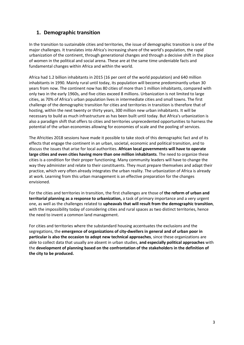## **1. Demographic transition**

In the transition to sustainable cities and territories, the issue of demographic transition is one of the major challenges. It translates into Africa's increasing share of the world's population, the rapid urbanization of the continent, through generational changes and through a decisive shift in the place of women in the political and social arena. These are at the same time undeniable facts and fundamental changes within Africa and within the world.

Africa had 1.2 billion inhabitants in 2015 (16 per cent of the world population) and 640 million inhabitants in 1990. Mainly rural until today, its population will become predominantly urban 30 years from now. The continent now has 80 cities of more than 1 million inhabitants, compared with only two in the early 1960s, and five cities exceed 8 millions. Urbanization is not limited to large cities, as 70% of Africa's urban population lives in intermediate cities and small towns. The first challenge of the demographic transition for cities and territories in transition is therefore that of hosting, within the next twenty or thirty years, 300 million new urban inhabitants. It will be necessary to build as much infrastructure as has been built until today. But Africa's urbanization is also a paradigm shift that offers to cities and territories unprecedented opportunities to harness the potential of the urban economies allowing for economies of scale and the pooling of services.

The Africities 2018 sessions have made it possible to take stock of this demographic fact and of its effects that engage the continent in an urban, societal, economic and political transition, and to discuss the issues that arise for local authorities. **African local governments will have to operate large cities and even cities having more than one million inhabitants**. The need to organize these cities is a condition for their proper functioning. Many community leaders will have to change the way they administer and relate to their constituents. They must prepare themselves and adapt their practice, which very often already integrates the urban reality. The urbanization of Africa is already at work. Learning from this urban management is an effective preparation for the changes envisioned.

For the cities and territories in transition, the first challenges are those of **the reform of urban and territorial planning as a response to urbanization,** a task of primary importance and a very urgent one, as well as the challenges related to **upheavals that will result from the demographic transition**, with the impossibility today of considering cities and rural spaces as two distinct territories, hence the need to invent a common land management.

For cities and territories where the substandard housing accentuates the exclusions and the segregations, the **emergence of organizations of city-dwellers in general and of urban poor in particular is also the occasion to adopt new technical approaches**, since these organizations are able to collect data that usually are absent in urban studies, **and especially political approaches** with the **development of planning based on the confrontation of the stakeholders in the definition of the city to be produced.**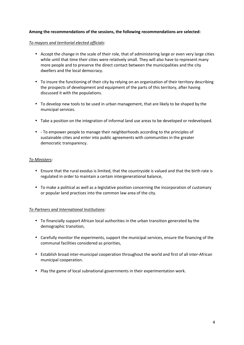#### *To mayors and territorial elected officials:*

- Accept the change in the scale of their role, that of administering large or even very large cities while until that time their cities were relatively small. They will also have to represent many more people and to preserve the direct contact between the municipalities and the city dwellers and the local democracy.
- To insure the functioning of their city by relying on an organization of their territory describing the prospects of development and equipment of the parts of this territory, after having discussed it with the populations.
- To develop new tools to be used in urban management, that are likely to be shaped by the municipal services.
- Take a position on the integration of informal land use areas to be developed or redeveloped.
- - To empower people to manage their neighborhoods according to the principles of sustainable cities and enter into public agreements with communities in the greater democratic transparency.

#### *To Ministers:*

- Ensure that the rural exodus is limited, that the countryside is valued and that the birth rate is regulated in order to maintain a certain intergenerational balance,
- To make a political as well as a legislative position concerning the incorporation of customary or popular land practices into the common law area of the city.

## *To Partners and International Institutions:*

- To financially support African local authorities in the urban transition generated by the demographic transition,
- Carefully monitor the experiments, support the municipal services, ensure the financing of the communal facilities considered as priorities,
- Establish broad inter-municipal cooperation throughout the world and first of all inter-African municipal cooperation.
- Play the game of local subnational governments in their experimentation work.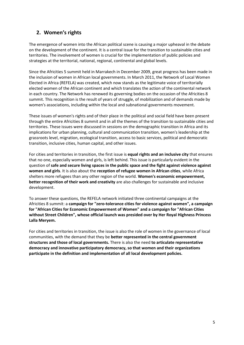# **2. Women's rights**

The emergence of women into the African political scene is causing a major upheaval in the debate on the development of the continent. It is a central issue for the transition to sustainable cities and territories. The involvement of women is crucial for the implementation of public policies and strategies at the territorial, national, regional, continental and global levels.

Since the Africities 5 summit held in Marrakech in December 2009, great progress has been made in the inclusion of women in African local governments. In March 2011, the Network of Local Women Elected in Africa (REFELA) was created, which now stands as the legitimate voice of territorially elected women of the African continent and which translates the action of the continental network in each country. The Network has renewed its governing bodies on the occasion of the Africities 8 summit. This recognition is the result of years of struggle, of mobilization and of demands made by women's associations, including within the local and subnational governments movement.

These issues of women's rights and of their place in the political and social field have been present through the entire Africities 8 summit and in all the themes of the transition to sustainable cities and territories. These issues were discussed in sessions on the demographic transition in Africa and its implications for urban planning, cultural and communication transition, women's leadership at the grassroots level, migration, ecological transition, access to basic services, political and democratic transition, inclusive cities, human capital, and other issues.

For cities and territories in transition, the first issue is **equal rights and an inclusive city** that ensures that no one, especially women and girls, is left behind. This issue is particularly evident in the question of **safe and secure living spaces in the public space and the fight against violence against women and girls**. It is also about the **reception of refugee women in African cities**, while Africa shelters more refugees than any other region of the world. **Women's economic empowerment, better recognition of their work and creativity** are also challenges for sustainable and inclusive development.

To answer these questions, the REFELA network initiated three continental campaigns at the Africities 8 summit: a **campaign for "zero-tolerance cities for violence against women", a campaign for "African Cities for Economic Empowerment of Women" and a campaign for "African Cities without Street Children", whose official launch was presided over by Her Royal Highness Princess Lalla Meryem.**

For cities and territories in transition, the issue is also the role of women in the governance of local communities, with the demand that they be **better represented in the central government structures and those of local governments.** There is also the need **to articulate representative democracy and innovative participatory democracy, so that women and their organizations participate in the definition and implementation of all local development policies.**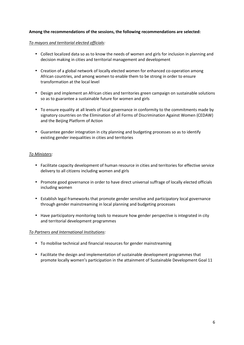#### *To mayors and territorial elected officials:*

- Collect localized data so as to know the needs of women and girls for inclusion in planning and decision making in cities and territorial management and development
- Creation of a global network of locally elected women for enhanced co-operation among African countries, and among women to enable them to be strong in order to ensure transformation at the local level
- Design and implement an African cities and territories green campaign on sustainable solutions so as to guarantee a sustainable future for women and girls
- To ensure equality at all levels of local governance in conformity to the commitments made by signatory countries on the Elimination of all Forms of Discrimination Against Women (CEDAW) and the Beijing Platform of Action
- Guarantee gender integration in city planning and budgeting processes so as to identify existing gender inequalities in cities and territories

#### *To Ministers:*

- Facilitate capacity development of human resource in cities and territories for effective service delivery to all citizens including women and girls
- Promote good governance in order to have direct universal suffrage of locally elected officials including women
- Establish legal frameworks that promote gender sensitive and participatory local governance through gender mainstreaming in local planning and budgeting processes
- Have participatory monitoring tools to measure how gender perspective is integrated in city and territorial development programmes

#### *To Partners and International Institutions:*

- To mobilise technical and financial resources for gender mainstreaming
- Facilitate the design and implementation of sustainable development programmes that promote locally women's participation in the attainment of Sustainable Development Goal 11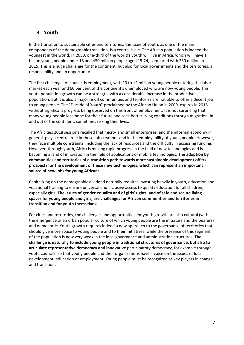## **3. Youth**

In the transition to sustainable cities and territories, the issue of youth, as one of the main components of the demographic transition, is a central issue. The African population is indeed the youngest in the world. In 2050, one-third of the world's youth will live in Africa, which will have 1 billion young people under 18 and 450 million people aged 15-24, compared with 230 million in 2015. This is a huge challenge for the continent, but also for local governments and the territories, a responsibility and an opportunity.

The first challenge, of course, is employment, with 10 to 12 million young people entering the labor market each year and 60 per cent of the continent's unemployed who are now young people. This youth population growth can be a strength, with a considerable increase in the productive population. But it is also a major risk if communities and territories are not able to offer a decent job to young people. The "Decade of Youth" proclaimed by the African Union in 2009, expires in 2018 without significant progress being observed on this front of employment. It is not surprising that many young people lose hope for their future and seek better living conditions through migration, in and out of the continent, sometimes risking their lives.

The Africities 2018 sessions recalled that micro- and small enterprises, and the informal economy in general, play a central role in these job creations and in the employability of young people. However, they face multiple constraints, including the lack of resources and the difficulty in accessing funding. However, through youth, Africa is making rapid progress in the field of new technologies and is becoming a land of innovation in the field of applications of mobile technologies. **The adoption by communities and territories of a transition path towards more sustainable development offers prospects for the development of these new technologies, which can represent an important source of new jobs for young Africans.**

Capitalizing on the demographic dividend naturally requires investing heavily in youth, education and vocational training to ensure universal and inclusive access to quality education for all children, especially girls. **The issues of gender equality and of girls' rights, and of safe and secure living spaces for young people and girls, are challenges for African communities and territories in transition and for youth themselves.**

For cities and territories, the challenges and opportunities for youth growth are also cultural (with the emergence of an urban popular culture of which young people are the initiators and the bearers) and democratic. Youth growth requires indeed a new approach to the governance of territories that should give more space to young people and to their initiatives, while the presence of this segment of the population is now very weak in the local governance and administration structures. **The challenge is naturally to include young people in traditional structures of governance, but also to articulate representative democracy and innovative** participatory democracy, for example through youth councils, so that young people and their organizations have a voice on the issues of local development, education or employment. Young people must be recognized as key players in change and transition.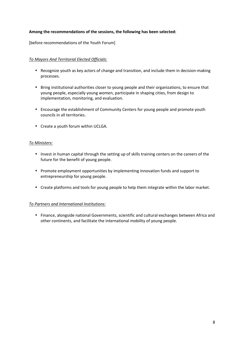## **Among the recommendations of the sessions, the following has been selected:**

[before recommendations of the Youth Forum]

## *To Mayors And Territorial Elected Officials:*

- Recognize youth as key actors of change and transition, and include them in decision-making processes.
- Bring institutional authorities closer to young people and their organizations, to ensure that young people, especially young women, participate in shaping cities, from design to implementation, monitoring, and evaluation.
- Encourage the establishment of Community Centers for young people and promote youth councils in all territories.
- Create a youth forum within UCLGA.

#### *To Ministers:*

- Invest in human capital through the setting up of skills training centers on the careers of the future for the benefit of young people.
- Promote employment opportunities by implementing innovation funds and support to entrepreneurship for young people.
- Create platforms and tools for young people to help them integrate within the labor market.

## *To Partners and International Institutions:*

• Finance, alongside national Governments, scientific and cultural exchanges between Africa and other continents, and facilitate the international mobility of young people.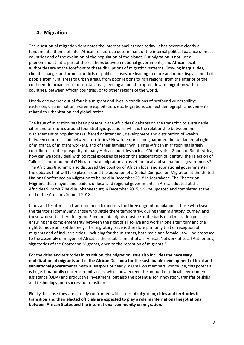## **4. Migration**

The question of migration dominates the international agenda today. It has become clearly a fundamental theme of inter-African relations, a determinant of the internal political balance of most countries and of the evolution of the population of the planet. But migration is not just a phenomenon that is part of the relations between national governments, and African local authorities are at the forefront of these disruptions of migration patterns. Growing inequalities, climate change, and armed conflicts or political crises are leading to more and more displacement of people from rural areas to urban areas, from poor regions to rich regions, from the interior of the continent to urban areas to coastal areas, feeding an uninterrupted flow of migration within countries, between African countries, or to other regions of the world.

Nearly one worker out of four is a migrant and lives in conditions of profound vulnerability: exclusion, discrimination, extreme exploitation, etc. Migrations connect demographic movements related to urbanization and globalization.

The issue of migration has been present in the Africities 8 debates on the transition to sustainable cities and territories around four strategic questions: what is the relationship between the displacement of populations (suffered or intended), development and distribution of wealth between countries and between territories? How to enforce and guarantee the fundamental rights of migrants, of migrant workers, and of their families? While inter-African migration has largely contributed to the prosperity of many African countries such as Côte d'Ivoire, Gabon or South Africa, how can we today deal with political excesses based on the exacerbation of identity, the rejection of "aliens", and xenophobia? How to make migration an asset for local and subnational governments? The Africities 8 summit also discussed the position of African local and subnational governments in the debates that will take place around the adoption of a Global Compact on Migration at the United Nations Conference on Migration to be held in December 2018 in Marrakech. The Charter on Migrants that mayors and leaders of local and regional governments in Africa adopted at the Africities Summit 7 held in Johannesburg in December 2015, will be updated and completed at the end of the Africities Summit 2018.

Cities and territories in transition need to address the three migrant populations: those who leave the territorial community, those who settle there temporarily, during their migratory journey, and those who settle there for good. Fundamental rights must be at the basis of all migration policies, ensuring the complementarity between the right of all to live and work in one's territory and the right to move and settle freely. The migratory issue is therefore primarily that of reception of migrants and of inclusive cities - including for the migrants, both male and female. It will be proposed to the assembly of mayors of Africities the establishment of an "African Network of Local Authorities, signatories of the Charter on Migrants, open to the reception of migrants."

For the cities and territories in transition, the migration issue also includes **the necessary mobilization of migrants and** of **the African Diaspora for the sustainable development of local and subnational governments.** With a Diaspora of nearly 350 million members worldwide, this potential is huge. It naturally concerns remittances, which now exceed the amount of official development assistance (ODA) and productive investment, but also the potential for innovation, transfer of skills and technology for a successful transition.

Finally, because they are directly confronted with issues of migration, **cities and territories in transition and their elected officials are expected to play a role in international negotiations between African States and the international community on migration.**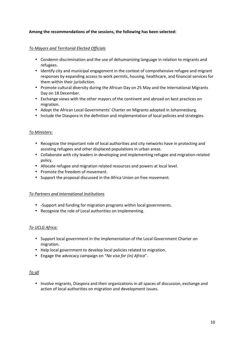## **Among the recommendations of the sessions, the following has been selected:**

### *To Mayors and Territorial Elected Officials*

- Condemn discrimination and the use of dehumanizing language in relation to migrants and refugees.
- Identify city and municipal engagement in the context of comprehensive refugee and migrant responses by expanding access to work permits, housing, healthcare, and financial services for them within their jurisdiction.
- Promote cultural diversity during the African Day on 25 May and the International Migrants Day on 18 December.
- Exchange views with the other mayors of the continent and abroad on best practices on migration.
- Adopt the African Local Governments' Charter on Migrants adopted in Johannesburg.
- Include the Diaspora in the definition and implementation of local policies and strategies.

#### *To Ministers:*

- Recognize the important role of local authorities and city networks have in protecting and assisting refugees and other displaced populations in urban areas.
- Collaborate with city leaders in developing and implementing refugee and migration-related policy.
- Allocate refugee and migration related resources and powers at local level.
- Promote the freedom of movement.
- Support the proposal discussed in the Africa Union on free movement.

#### *To Partners and International Institutions*

- -Support and funding for migration programs within local governments.
- Recognize the role of Local authorities on implementing.

#### *To UCLG Africa:*

- Support local government in the implementation of the Local Government Charter on migration.
- Help local government to develop local policies related to migration.
- Engage the advocacy campaign on "*No visa for (in) Africa*".

#### *To all*

• Involve migrants, Diaspora and their organizations in all spaces of discussion, exchange and action of local authorities on migration and development issues.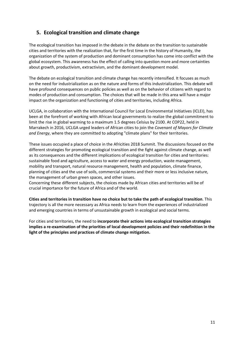# **5. Ecological transition and climate change**

The ecological transition has imposed in the debate in the debate on the transition to sustainable cities and territories with the realization that, for the first time in the history of Humanity, the organization of the system of production and dominant consumption has come into conflict with the global ecosystem. This awareness has the effect of calling into question more and more certainties about growth, productivism, extractivism, and the dominant development model.

The debate on ecological transition and climate change has recently intensified. It focuses as much on the need for industrialization as on the nature and forms of this industrialization. This debate will have profound consequences on public policies as well as on the behavior of citizens with regard to modes of production and consumption. The choices that will be made in this area will have a major impact on the organization and functioning of cities and territories, including Africa.

UCLGA, in collaboration with the International Council for Local Environmental Initiatives (ICLEI), has been at the forefront of working with African local governments to realize the global commitment to limit the rise in global warming to a maximum 1.5 degrees Celsius by 2100. At COP22, held in Marrakech in 2016, UCLGA urged leaders of African cities to join the *Covenant of Mayors for Climate and Energy*, where they are committed to adopting "climate plans" for their territories.

These issues occupied a place of choice in the Africities 2018 Summit. The discussions focused on the different strategies for promoting ecological transition and the fight against climate change, as well as its consequences and the different implications of ecological transition for cities and territories: sustainable food and agriculture, access to water and energy production, waste management, mobility and transport, natural resource management, health and population, climate finance, planning of cities and the use of soils, commercial systems and their more or less inclusive nature, the management of urban green spaces, and other issues.

Concerning these different subjects, the choices made by African cities and territories will be of crucial importance for the future of Africa and of the world.

**Cities and territories in transition have no choice but to take the path of ecological transition**. This trajectory is all the more necessary as Africa needs to learn from the experiences of industrialized and emerging countries in terms of unsustainable growth in ecological and social terms.

For cities and territories, the need to **incorporate their actions into ecological transition strategies implies a re-examination of the priorities of local development policies and their redefinition in the light of the principles and practices of climate change mitigation.**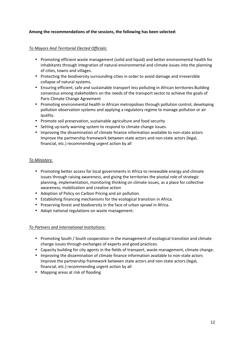## **Among the recommendations of the sessions, the following has been selected:**

## *To Mayors And Territorial Elected Officials:*

- Promoting efficient waste management (solid and liquid) and better environmental health for inhabitants through integration of natural environmental and climate issues into the planning of cities, towns and villages.
- Protecting the biodiversity surrounding cities in order to avoid damage and irreversible collapse of natural systems.
- Ensuring efficient, safe and sustainable transport less polluting in African territories:Building consensus among stakeholders on the needs of the transport sector to achieve the goals of Paris Climate Change Agreement
- Promoting environmental health in African metropolises through pollution control, developing pollution observation systems and applying a regulatory regime to manage pollution or air quality.
- Promote soil preservation, sustainable agriculture and food security
- Setting up early warning system to respond to climate change issues.
- Improving the dissemination of climate finance information available to non-state actors Improve the partnership framework between state actors and non-state actors (legal, financial, etc.) recommending urgent action by all

#### *To Ministers:*

- Promoting better access for local governments in Africa to renewable energy and climate issues through raising awareness, and giving the territories the pivotal role of strategic planning, implementation, monitoring thinking on climate issues, as a place for collective awareness, mobilization and creative action
- Adoption of Policy on Carbon Pricing and air pollution.
- Establishing financing mechanisms for the ecological transition in Africa.
- Preserving forest and biodiversity in the face of urban sprawl in Africa.
- Adopt national regulations on waste management.

#### *To Partners and International Institutions:*

- Promoting South / South cooperation in the management of ecological transition and climate change issues through exchanges of experts and good practices.
- Capacity building for city agents in the fields of transport, waste management, climate change.
- Improving the dissemination of climate finance information available to non-state actors Improve the partnership framework between state actors and non-state actors (legal, financial, etc.) recommending urgent action by all
- Mapping areas at risk of flooding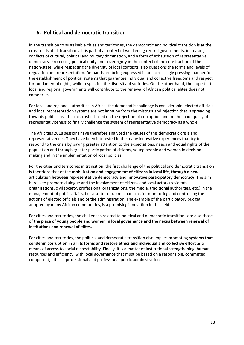## **6. Political and democratic transition**

In the transition to sustainable cities and territories, the democratic and political transition is at the crossroads of all transitions. It is part of a context of weakening central governments, increasing conflicts of cultural, political and military domination, and a form of exhaustion of representative democracy. Promoting political unity and sovereignty in the context of the construction of the nation-state, while respecting the diversity of local contexts, also questions the forms and levels of regulation and representation. Demands are being expressed in an increasingly pressing manner for the establishment of political systems that guarantee individual and collective freedoms and respect for fundamental rights, while respecting the diversity of societies. On the other hand, the hope that local and regional governments will contribute to the renewal of African political elites does not come true.

For local and regional authorities in Africa, the democratic challenge is considerable: elected officials and local representation systems are not immune from the mistrust and rejection that is spreading towards politicians. This mistrust is based on the rejection of corruption and on the inadequacy of representativiteness to finally challenge the system of representative democracy as a whole.

The Africities 2018 sessions have therefore analyzed the causes of this democratic crisis and representativeness. They have been interested in the many innovative experiences that try to respond to the crisis by paying greater attention to the expectations, needs and equal rights of the population and through greater participation of citizens, young people and women in decisionmaking and in the implementation of local policies.

For the cities and territories in transition, the first challenge of the political and democratic transition is therefore that of the **mobilization and engagement of citizens in local life, through a new articulation between representative democracy and innovative participatory democracy**. The aim here is to promote dialogue and the involvement of citizens and local actors (residents' organizations, civil society, professional organizations, the media, traditional authorities, etc.) in the management of public affairs, but also to set up mechanisms for monitoring and controlling the actions of elected officials and of the administration. The example of the participatory budget, adopted by many African communities, is a promising innovation in this field.

For cities and territories, the challenges related to political and democratic transitions are also those of **the place of young people and women in local governance and the nexus between renewal of institutions and renewal of elites.**

For cities and territories, the political and democratic transition also implies promoting **systems that condemn corruption in all its forms and restore ethics and individual and collective effort** as a means of access to social respectability. Finally, it is a matter of institutional strengthening, human resources and efficiency, with local governance that must be based on a responsible, committed, competent, ethical, professional and professional public administration.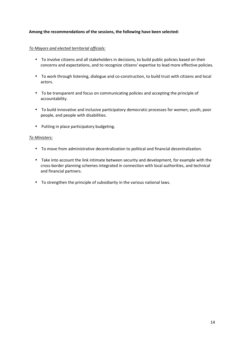### **Among the recommendations of the sessions, the following have been selected:**

#### *To Mayors and elected territorial officials:*

- To involve citizens and all stakeholders in decisions, to build public policies based on their concerns and expectations, and to recognize citizens' expertise to lead more effective policies.
- To work through listening, dialogue and co-construction, to build trust with citizens and local actors.
- To be transparent and focus on communicating policies and accepting the principle of accountability.
- To build innovative and inclusive participatory democratic processes for women, youth, poor people, and people with disabilities.
- Putting in place participatory budgeting.

#### *To Ministers:*

- To move from administrative decentralization to political and financial decentralization.
- Take into account the link intimate between security and development, for example with the cross-border planning schemes integrated in connection with local authorities, and technical and financial partners.
- To strengthen the principle of subsidiarity in the various national laws.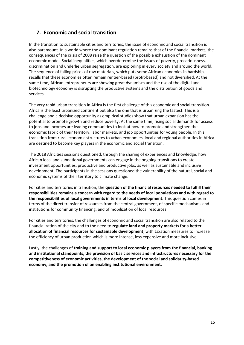## **7. Economic and social transition**

In the transition to sustainable cities and territories, the issue of economic and social transition is also paramount. In a world where the dominant regulation remains that of the financial markets, the consequences of the crisis of 2008 raise the question of the possible exhaustion of the dominant economic model. Social inequalities, which overdetermine the issues of poverty, precariousness, discrimination and underlie urban segregation, are exploding in every society and around the world. The sequence of falling prices of raw materials, which puts some African economies in hardship, recalls that these economies often remain rentier-based (profit-based) and not diversified. At the same time, African entrepreneurs are showing great dynamism and the rise of the digital and biotechnology economy is disrupting the productive systems and the distribution of goods and services.

The very rapid urban transition in Africa is the first challenge of this economic and social transition. Africa is the least urbanized continent but also the one that is urbanizing the fastest. This is a challenge and a decisive opportunity as empirical studies show that urban expansion has the potential to promote growth and reduce poverty. At the same time, rising social demands for access to jobs and incomes are leading communities to look at how to promote and strengthen the economic fabric of their territory, labor markets, and job opportunities for young people. In this transition from rural economic structures to urban economies, local and regional authorities in Africa are destined to become key players in the economic and social transition.

The 2018 Africities sessions questioned, through the sharing of experiences and knowledge, how African local and subnational governments can engage in the ongoing transitions to create investment opportunities, productive and productive jobs, as well as sustainable and inclusive development. The participants in the sessions questioned the vulnerability of the natural, social and economic systems of their territory to climate change.

For cities and territories in transition, the **question of the financial resources needed to fulfill their responsibilities remains a concern with regard to the needs of local populations and with regard to the responsibilities of local governments in terms of local development**. This question comes in terms of the direct transfer of resources from the central government, of specific mechanisms and institutions for community financing, and of mobilization of local resources.

For cities and territories, the challenges of economic and social transition are also related to the financialization of the city and to the need to **regulate land and property markets for a better allocation of financial resources for sustainable development**, with taxation measures to increase the efficiency of urban production which is more intense, less expensive and more inclusive.

Lastly, the challenges of **training and support to local economic players from the financial, banking and institutional standpoints, the provision of basic services and infrastructures necessary for the competitiveness of economic activities, the development of the social and solidarity-based economy, and the promotion of an enabling institutional environment.**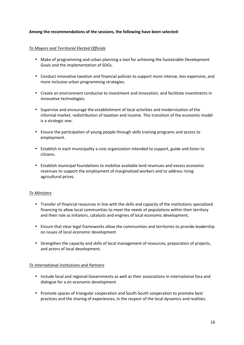### **Among the recommendations of the sessions, the following have been selected:**

### *To Mayors and Territorial Elected Officials*

- Make of programming and urban planning a tool for achieving the Sustainable Development Goals and the implementation of SDGs.
- Conduct innovative taxation and financial policies to support more intense, less expensive, and more inclusive urban programming strategies.
- Create an environment conducive to investment and innovation, and facilitate investments in innovative technologies.
- Supervise and encourage the establishment of local activities and modernization of the informal market, redistribution of taxation and income. This transition of the economic model is a strategic one.
- Ensure the participation of young people through skills training programs and access to employment.
- Establish in each municipality a civic organization intended to support, guide and listen to citizens.
- Establish municipal foundations to mobilize available land revenues and excess economic revenues to support the employment of marginalized workers and to address rising agricultural prices.

#### *To Ministers*

- Transfer of financial resources in line with the skills and capacity of the institutions specialized financing to allow local communities to meet the needs of populations within their territory and their role as initiators, catalysts and engines of local economic development;
- Ensure that clear legal frameworks allow the communities and territories to provide leadership on issues of local economic development
- Strengthen the capacity and skills of local management of resources, preparation of projects, and actors of local development.

#### *To International institutions and Partners*

- Include local and regional Governments as well as their associations in international fora and dialogue for a on economic development.
- Promote spaces of triangular cooperation and South-South cooperation to promote best practices and the sharing of experiences, in the respect of the local dynamics and realities.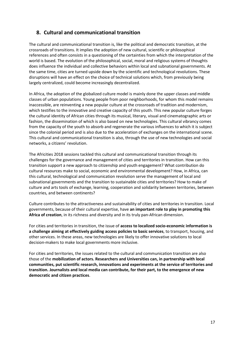## **8. Cultural and communicational transition**

The cultural and communicational transition is, like the political and democratic transition, at the crossroads of transitions. It implies the adoption of new cultural, scientific or philosophical references and often consists in a questioning of the certainties from which the interpretation of the world is based. The evolution of the philosophical, social, moral and religious systems of thoughts does influence the individual and collective behaviors within local and subnational governments. At the same time, cities are turned upside down by the scientific and technological revolutions. These disruptions will have an effect on the choice of technical solutions which, from previously being largely centralized, could become increasingly decentralized.

In Africa, the adoption of the globalized culture model is mainly done the upper classes and middle classes of urban populations. Young people from poor neighborhoods, for whom this model remains inaccessible, are reinventing a new popular culture at the crossroads of tradition and modernism, which testifies to the innovative and creative capacity of this youth. This new popular culture forges the cultural identity of African cities through its musical, literary, visual and cinematographic arts or fashion, the dissemination of which is also based on new technologies. This cultural vibrancy comes from the capacity of the youth to absorb and regenerate the various influences to which it is subject since the colonial period and is also due to the acceleration of exchanges on the international scene. This cultural and communicational transition is also, through the use of new technologies and social networks, a citizens' revolution.

The Africities 2018 sessions tackled this cultural and communicational transition through its challenges for the governance and management of cities and territories in transition. How can this transition support a new approach to citizenship and youth engagement? What contribution do cultural resources make to social, economic and environmental development? How, in Africa, can this cultural, technological and communication revolution serve the management of local and subnational governments and the transition to sustainable cities and territories? How to make of culture and arts tools of exchange, learning, cooperation and solidarity between territories, between countries, and between continents?

Culture contributes to the attractiveness and sustainability of cities and territories in transition. Local governments, because of their cultural expertise, have **an important role to play in promoting this Africa of creation**, in its richness and diversity and in its truly pan-African dimension.

For cities and territories in transition, the issue of **access to localized socio-economic information is a challenge aiming at effectively guiding access policies to basic services**, to transport, housing, and other services. In these areas, new technologies are likely to offer innovative solutions to local decision-makers to make local governments more inclusive.

For cities and territories, the issues related to the cultural and communication transition are also those of the **mobilization of actors. Researchers and Universities can, in partnership with local communities, put scientific research, innovations and experiments at the service of territories and transition. Journalists and local media can contribute, for their part, to the emergence of new democratic and citizen practices**.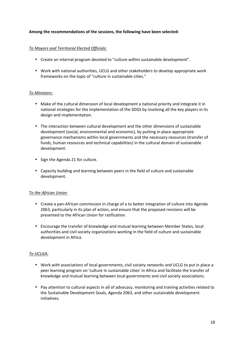### **Among the recommendations of the sessions, the following have been selected:**

### *To Mayors and Territorial Elected Officials:*

- Create an internal program devoted to "culture within sustainable development".
- Work with national authorities, UCLG and other stakeholders to develop appropriate work frameworks on the topic of "culture in sustainable cities."

#### *To Ministers:*

- Make of the cultural dimension of local development a national priority and integrate it in national strategies for the implementation of the SDGS by involving all the key players in its design and implementation.
- The interaction between cultural development and the other dimensions of sustainable development (social, environmental and economic), by putting in place appropriate governance mechanisms within local governments and the necessary resources (transfer of funds, human resources and technical capabilities) in the cultural domain of sustainable development.
- Sign the Agenda 21 for culture.
- Capacity building and learning between peers in the field of culture and sustainable development.

## *To the African Union:*

- Create a pan-African commission in charge of a to better integration of culture into Agenda 2063, particularly in its plan of action, and ensure that the proposed revisions will be presented to the African Union for ratification.
- Encourage the transfer of knowledge and mutual learning between Member States, local authorities and civil society organizations working in the field of culture and sustainable development in Africa.

## *To UCLGA:*

- Work with associations of local governments, civil society networks and UCLG to put in place a peer learning program on 'culture in sustainable cities' in Africa and facilitate the transfer of knowledge and mutual learning between local governments and civil society associations.
- Pay attention to cultural aspects in all of advocacy, monitoring and training activities related to the Sustainable Development Goals, Agenda 2063, and other sustainable development initiatives.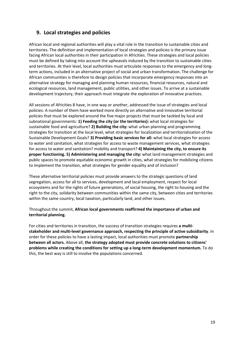## **9. Local strategies and policies**

African local and regional authorities will play a vital role in the transition to sustainable cities and territories. The definition and implementation of local strategies and policies is the primary issue facing African local authorities in their participation in Africities. These strategies and local policies must be defined by taking into account the upheavals induced by the transition to sustainable cities and territories. At their level, local authorities must articulate responses to the emergency and longterm actions, included in an alternative project of social and urban transformation. The challenge for African communities is therefore to design policies that incorporate emergency responses into an alternative strategy for managing and planning human resources, financial resources, natural and ecological resources, land management, public utilities, and other issues. To arrive at a sustainable development trajectory, their approach must integrate the exploration of innovative practices.

All sessions of Africities 8 have, in one way or another, addressed the issue of strategies and local policies. A number of them have worked more directly on alternative and innovative territorial policies that must be explored around the five major projects that must be tackled by local and subnational governments: **1) Feeding the city (or the territories):** what local strategies for sustainable food and agriculture? **2) Building the city:** what urban planning and programming strategies for transition at the local level, what strategies for localization and territorialization of the Sustainable Development Goals? **3) Providing basic services for all:** what local strategies for access to water and sanitation, what strategies for access to waste management services, what strategies for access to water and sanitation? mobility and transport? **4) Maintaining the city, to ensure its proper functioning. 5) Administering and managing the city:** what land management strategies and public spaces to promote equitable economic growth in cities, what strategies for mobilizing citizens to implement the transition, what strategies for gender equality and of inclusion?

These alternative territorial policies must provide answers to the strategic questions of land segregation, access for all to services, development and local employment, respect for local ecosystems and for the rights of future generations, of social housing, the right to housing and the right to the city, solidarity between communities within the same city, between cities and territories within the same country, local taxation, particularly land, and other issues.

## Throughout the summit, **African local governments reaffirmed the importance of urban and territorial planning.**

For cities and territories in transition, the success of transition strategies requires **a multistakeholder and multi-level governance approach, respecting the principle of active subsidiarity**. In order for these policies to have a lasting impact, local authorities must promote **partnership between all actors.** Above all, **the strategy adopted must provide concrete solutions to citizens' problems while creating the conditions for setting up a long-term development momentum.** To do this, the best way is still to involve the populations concerned.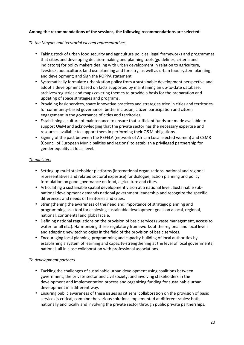#### *To the Mayors and territorial elected representatives*

- Taking stock of urban food security and agriculture policies, legal frameworks and programmes that cities and developing decision-making and planning tools (guidelines, criteria and indicators) for policy makers dealing with urban development in relation to agriculture, livestock, aquaculture, land use planning and forestry, as well as urban food system planning and development; and Sign the ROPPA statement.
- Systematically formulate urbanization policy from a sustainable development perspective and adopt a development based on facts supported by maintaining an up-to-date database, archives/registries and maps covering themes to provide a basis for the preparation and updating of space strategies and programs.
- Providing basic services, share innovative practices and strategies tried in cities and territories for community-based governance, better inclusion, citizen participation and citizen engagement in the governance of cities and territories.
- Establishing a culture of maintenance to ensure that sufficient funds are made available to support O&M and acknowledging that the private sector has the necessary expertise and resources available to support them in performing their O&M obligations.
- Signing of the pact between the REFELA (network of African Local elected women) and CEMR (Council of European Municipalities and regions) to establish a privileged partnership for gender equality at local level.

#### *To ministers*

- Setting up multi-stakeholder platforms (international organizations, national and regional representatives and related sectoral expertise) for dialogue, action planning and policy formulation on good governance on food, agriculture and cities.
- Articulating a sustainable spatial development vision at a national level. Sustainable subnational development demands national government leadership and recognize the specific differences and needs of territories and cities.
- Strengthening the awareness of the need and importance of strategic planning and programming as a tool for achieving sustainable development goals on a local, regional, national, continental and global scale.
- Defining national regulations on the provision of basic services (waste management, access to water for all etc.). Harmonizing these regulatory frameworks at the regional and local levels and adapting new technologies in the field of the provision of basic services.
- Encouraging local planning, programming and capacity-building of local authorities by establishing a system of learning and capacity-strengthening at the level of local governments, national, all in close collaboration with professional associations.

#### *To development partners*

- Tackling the challenges of sustainable urban development using coalitions between government, the private sector and civil society, and involving stakeholders in the development and implementation process and organizing funding for sustainable urban development in a different way.
- Ensuring public awareness of these issues as citizens' collaboration on the provision of basic services is critical, combine the various solutions implemented at different scales: both nationally and locally and Involving the private sector through public private partnerships.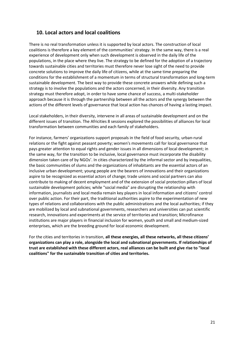## **10. Local actors and local coalitions**

There is no real transformation unless it is supported by local actors. The construction of local coalitions is therefore a key element of the communities' strategy. In the same way, there is a real experience of development only when such development is observed in the daily life of the populations, in the place where they live. The strategy to be defined for the adoption of a trajectory towards sustainable cities and territories must therefore never lose sight of the need to provide concrete solutions to improve the daily life of citizens, while at the same time preparing the conditions for the establishment of a momentum in terms of structural transformation and long-term sustainable development. The best way to provide these concrete answers while defining such a strategy is to involve the populations and the actors concerned, in their diversity. Any transition strategy must therefore adopt, in order to have some chance of success, a multi-stakeholder approach because it is through the partnership between all the actors and the synergy between the actions of the different levels of governance that local action has chances of having a lasting impact.

Local stakeholders, in their diversity, intervene in all areas of sustainable development and on the different issues of transition. The Africities 8 sessions explored the possibilities of alliances for local transformation between communities and each family of stakeholders.

For instance, farmers' organizations support proposals in the field of food security, urban-rural relations or the fight against peasant poverty; women's movements call for local governance that pays greater attention to equal rights and gender issues in all dimensions of local development; in the same way, for the transition to be inclusive, local governance must incorporate the disability dimension taken care of by NGOs'. In cities characterized by the informal sector and by inequalities, the basic communities of slums and the organizations of inhabitants are the essential actors of an inclusive urban development; young people are the bearers of innovations and their organizations aspire to be recognized as essential actors of change; trade unions and social partners can also contribute to making of decent employment and of the extension of social protection pillars of local sustainable development policies; while "social media" are disrupting the relationship with information, journalists and local media remain key players in local information and citizens' control over public action. For their part, the traditional authorities aspire to the experimentation of new types of relations and collaborations with the public administrations and the local authorities; if they are mobilized by local and subnational governments, researchers and universities can put scientific research, innovations and experiments at the service of territories and transition; Microfinance institutions are major players in financial inclusion for women, youth and small and medium-sized enterprises, which are the breeding ground for local economic development.

For the cities and territories in transition, **all these energies, all these networks, all these citizens' organizations can play a role, alongside the local and subnational governments. If relationships of trust are established with these different actors, real alliances can be built and give rise to "local coalitions" for the sustainable transition of cities and territories.**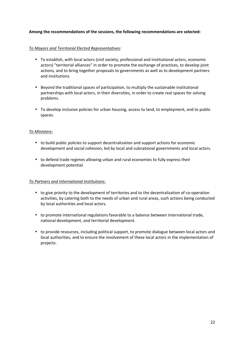#### *To Mayors and Territorial Elected Representatives:*

- To establish, with local actors (civil society, professional and institutional actors, economic actors) "territorial alliances" in order to promote the exchange of practices, to develop joint actions, and to bring together proposals to governments as well as to development partners and institutions.
- Beyond the traditional spaces of participation, to multiply the sustainable institutional partnerships with local actors, in their diversities, in order to create real spaces for solving problems.
- To develop inclusive policies for urban housing, access to land, to employment, and to public spaces.

#### *To Ministers:*

- to build public policies to support decentralization and support actions for economic development and social cohesion, led by local and subnational governments and local actors.
- to defend trade regimes allowing urban and rural economies to fully express their development potential.

#### *To Partners and International Institutions:*

- to give priority to the development of territories and to the decentralization of co-operation activities, by catering both to the needs of urban and rural areas, such actions being conducted by local authorities and local actors.
- to promote international regulations favorable to a balance between international trade, national development, and territorial development.
- to provide resources, including political support, to promote dialogue between local actors and local authorities, and to ensure the involvement of these local actors in the implementation of projects.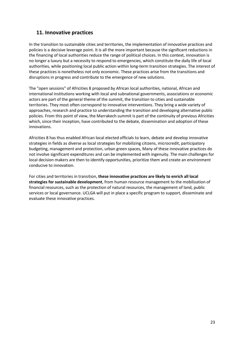## **11. Innovative practices**

In the transition to sustainable cities and territories, the implementation of innovative practices and policies is a decisive leverage point. It is all the more important because the significant reductions in the financing of local authorities reduce the range of political choices. In this context, innovation is no longer a luxury but a necessity to respond to emergencies, which constitute the daily life of local authorities, while positioning local public action within long-term transition strategies. The interest of these practices is nonetheless not only economic. These practices arise from the transitions and disruptions in progress and contribute to the emergence of new solutions.

The "open sessions" of Africities 8 proposed by African local authorities, national, African and international institutions working with local and subnational governments, associations or economic actors are part of the general theme of the summit, the transition to cities and sustainable territories. They most often correspond to innovative interventions. They bring a wide variety of approaches, research and practice to understanding the transition and developing alternative public policies. From this point of view, the Marrakech summit is part of the continuity of previous Africities which, since their inception, have contributed to the debate, dissemination and adoption of these innovations.

Africities 8 has thus enabled African local elected officials to learn, debate and develop innovative strategies in fields as diverse as local strategies for mobilizing citizens, microcredit, participatory budgeting, management and protection, urban green spaces, Many of these innovative practices do not involve significant expenditures and can be implemented with ingenuity. The main challenges for local decision makers are then to identify opportunities, prioritize them and create an environment conducive to innovation.

For cities and territories in transition, **these innovative practices are likely to enrich all local strategies for sustainable development**, from human resource management to the mobilization of financial resources, such as the protection of natural resources, the management of land, public services or local governance. UCLGA will put in place a specific program to support, disseminate and evaluate these innovative practices.